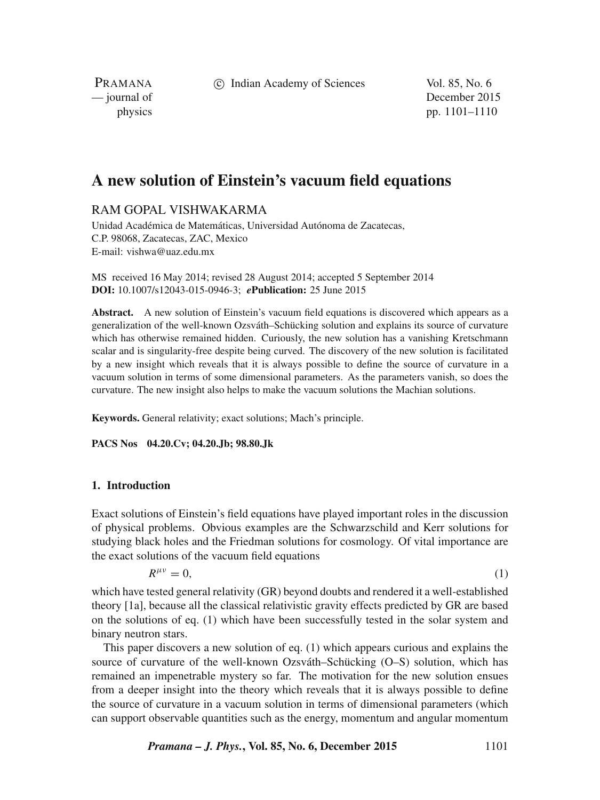c Indian Academy of Sciences Vol. 85, No. 6

PRAMANA<br>
— journal of

December 2015 physics pp. 1101–1110

# **A new solution of Einstein's vacuum field equations**

# RAM GOPAL VISHWAKARMA

Unidad Académica de Matemáticas, Universidad Autónoma de Zacatecas, C.P. 98068, Zacatecas, ZAC, Mexico E-mail: vishwa@uaz.edu.mx

MS received 16 May 2014; revised 28 August 2014; accepted 5 September 2014 **DOI:** 10.1007/s12043-015-0946-3; *e***Publication:** 25 June 2015

Abstract. A new solution of Einstein's vacuum field equations is discovered which appears as a generalization of the well-known Ozsváth–Schücking solution and explains its source of curvature which has otherwise remained hidden. Curiously, the new solution has a vanishing Kretschmann scalar and is singularity-free despite being curved. The discovery of the new solution is facilitated by a new insight which reveals that it is always possible to define the source of curvature in a vacuum solution in terms of some dimensional parameters. As the parameters vanish, so does the curvature. The new insight also helps to make the vacuum solutions the Machian solutions.

**Keywords.** General relativity; exact solutions; Mach's principle.

**PACS Nos 04.20.Cv; 04.20.Jb; 98.80.Jk**

## **1. Introduction**

Exact solutions of Einstein's field equations have played important roles in the discussion of physical problems. Obvious examples are the Schwarzschild and Kerr solutions for studying black holes and the Friedman solutions for cosmology. Of vital importance are the exact solutions of the vacuum field equations

 $R^{\mu\nu} = 0,$  (1)

which have tested general relativity (GR) beyond doubts and rendered it a well-established theory [1a], because all the classical relativistic gravity effects predicted by GR are based on the solutions of eq. (1) which have been successfully tested in the solar system and binary neutron stars.

This paper discovers a new solution of eq. (1) which appears curious and explains the source of curvature of the well-known Ozsváth–Schücking (O–S) solution, which has remained an impenetrable mystery so far. The motivation for the new solution ensues from a deeper insight into the theory which reveals that it is always possible to define the source of curvature in a vacuum solution in terms of dimensional parameters (which can support observable quantities such as the energy, momentum and angular momentum

*Pramana – J. Phys.***, Vol. 85, No. 6, December 2015** 1101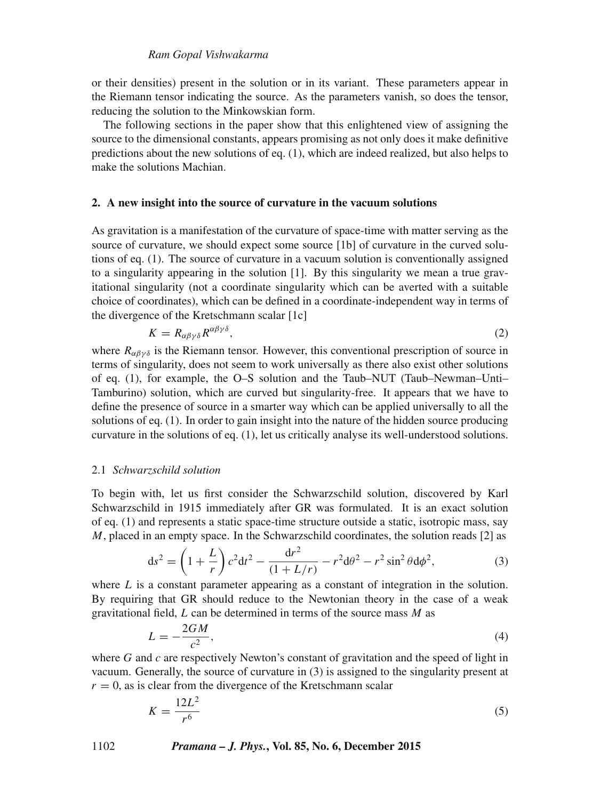or their densities) present in the solution or in its variant. These parameters appear in the Riemann tensor indicating the source. As the parameters vanish, so does the tensor, reducing the solution to the Minkowskian form.

The following sections in the paper show that this enlightened view of assigning the source to the dimensional constants, appears promising as not only does it make definitive predictions about the new solutions of eq. (1), which are indeed realized, but also helps to make the solutions Machian.

#### **2. A new insight into the source of curvature in the vacuum solutions**

As gravitation is a manifestation of the curvature of space-time with matter serving as the source of curvature, we should expect some source [1b] of curvature in the curved solutions of eq. (1). The source of curvature in a vacuum solution is conventionally assigned to a singularity appearing in the solution [1]. By this singularity we mean a true gravitational singularity (not a coordinate singularity which can be averted with a suitable choice of coordinates), which can be defined in a coordinate-independent way in terms of the divergence of the Kretschmann scalar [1c]

$$
K = R_{\alpha\beta\gamma\delta} R^{\alpha\beta\gamma\delta},\tag{2}
$$

where  $R_{\alpha\beta\gamma\delta}$  is the Riemann tensor. However, this conventional prescription of source in terms of singularity, does not seem to work universally as there also exist other solutions of eq. (1), for example, the O–S solution and the Taub–NUT (Taub–Newman–Unti– Tamburino) solution, which are curved but singularity-free. It appears that we have to define the presence of source in a smarter way which can be applied universally to all the solutions of eq. (1). In order to gain insight into the nature of the hidden source producing curvature in the solutions of eq. (1), let us critically analyse its well-understood solutions.

## 2.1 *Schwarzschild solution*

To begin with, let us first consider the Schwarzschild solution, discovered by Karl Schwarzschild in 1915 immediately after GR was formulated. It is an exact solution of eq. (1) and represents a static space-time structure outside a static, isotropic mass, say  $M$ , placed in an empty space. In the Schwarzschild coordinates, the solution reads [2] as

$$
ds^{2} = \left(1 + \frac{L}{r}\right)c^{2}dt^{2} - \frac{dr^{2}}{(1 + L/r)} - r^{2}d\theta^{2} - r^{2}\sin^{2}\theta d\phi^{2},
$$
\n(3)

where L is a constant parameter appearing as a constant of integration in the solution. By requiring that GR should reduce to the Newtonian theory in the case of a weak gravitational field,  $L$  can be determined in terms of the source mass  $M$  as

$$
L = -\frac{2GM}{c^2},\tag{4}
$$

where G and  $c$  are respectively Newton's constant of gravitation and the speed of light in vacuum. Generally, the source of curvature in (3) is assigned to the singularity present at  $r = 0$ , as is clear from the divergence of the Kretschmann scalar

$$
K = \frac{12L^2}{r^6} \tag{5}
$$

1102 *Pramana – J. Phys.***, Vol. 85, No. 6, December 2015**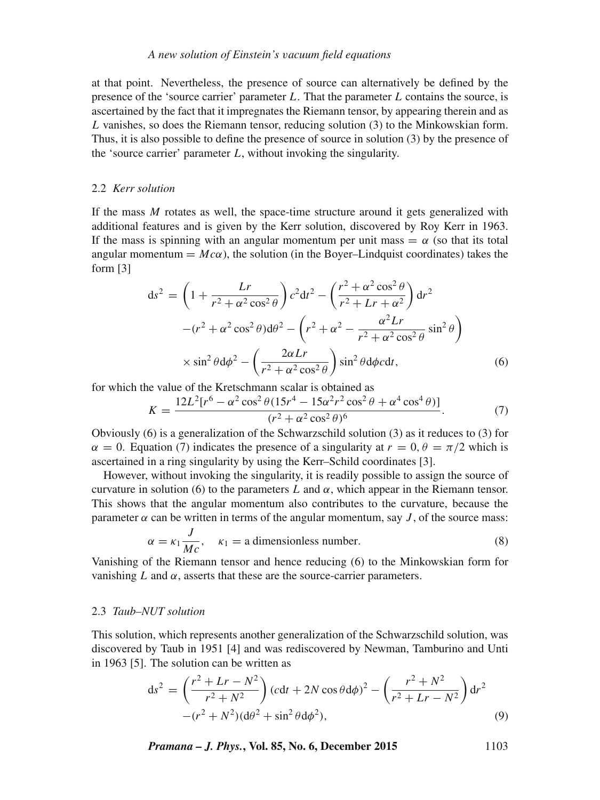at that point. Nevertheless, the presence of source can alternatively be defined by the presence of the 'source carrier' parameter  $L$ . That the parameter  $L$  contains the source, is ascertained by the fact that it impregnates the Riemann tensor, by appearing therein and as L vanishes, so does the Riemann tensor, reducing solution (3) to the Minkowskian form. Thus, it is also possible to define the presence of source in solution (3) by the presence of the 'source carrier' parameter  $L$ , without invoking the singularity.

## 2.2 *Kerr solution*

If the mass M rotates as well, the space-time structure around it gets generalized with additional features and is given by the Kerr solution, discovered by Roy Kerr in 1963. If the mass is spinning with an angular momentum per unit mass  $= \alpha$  (so that its total angular momentum =  $Mc\alpha$ ), the solution (in the Boyer–Lindquist coordinates) takes the form [3]

$$
ds^{2} = \left(1 + \frac{Lr}{r^{2} + \alpha^{2} \cos^{2} \theta}\right) c^{2} dt^{2} - \left(\frac{r^{2} + \alpha^{2} \cos^{2} \theta}{r^{2} + Lr + \alpha^{2}}\right) dr^{2}
$$

$$
- (r^{2} + \alpha^{2} \cos^{2} \theta) d\theta^{2} - \left(r^{2} + \alpha^{2} - \frac{\alpha^{2} Lr}{r^{2} + \alpha^{2} \cos^{2} \theta} \sin^{2} \theta\right)
$$

$$
\times \sin^{2} \theta d\phi^{2} - \left(\frac{2\alpha Lr}{r^{2} + \alpha^{2} \cos^{2} \theta}\right) \sin^{2} \theta d\phi c dt, \qquad (6)
$$

for which the value of the Kretschmann scalar is obtained as

$$
K = \frac{12L^2[r^6 - \alpha^2\cos^2\theta(15r^4 - 15\alpha^2r^2\cos^2\theta + \alpha^4\cos^4\theta)]}{(r^2 + \alpha^2\cos^2\theta)^6}.
$$
 (7)

Obviously (6) is a generalization of the Schwarzschild solution (3) as it reduces to (3) for  $\alpha = 0$ . Equation (7) indicates the presence of a singularity at  $r = 0$ ,  $\theta = \pi/2$  which is ascertained in a ring singularity by using the Kerr–Schild coordinates [3].

However, without invoking the singularity, it is readily possible to assign the source of curvature in solution (6) to the parameters L and  $\alpha$ , which appear in the Riemann tensor. This shows that the angular momentum also contributes to the curvature, because the parameter  $\alpha$  can be written in terms of the angular momentum, say J, of the source mass:

$$
\alpha = \kappa_1 \frac{J}{Mc}, \quad \kappa_1 = \text{a dimensionless number.} \tag{8}
$$

Vanishing of the Riemann tensor and hence reducing (6) to the Minkowskian form for vanishing  $L$  and  $\alpha$ , asserts that these are the source-carrier parameters.

## 2.3 *Taub–NUT solution*

This solution, which represents another generalization of the Schwarzschild solution, was discovered by Taub in 1951 [4] and was rediscovered by Newman, Tamburino and Unti in 1963 [5]. The solution can be written as

$$
ds^{2} = \left(\frac{r^{2} + Lr - N^{2}}{r^{2} + N^{2}}\right) (cdt + 2N \cos \theta d\phi)^{2} - \left(\frac{r^{2} + N^{2}}{r^{2} + Lr - N^{2}}\right) dr^{2}
$$

$$
-(r^{2} + N^{2})(d\theta^{2} + \sin^{2} \theta d\phi^{2}), \qquad (9)
$$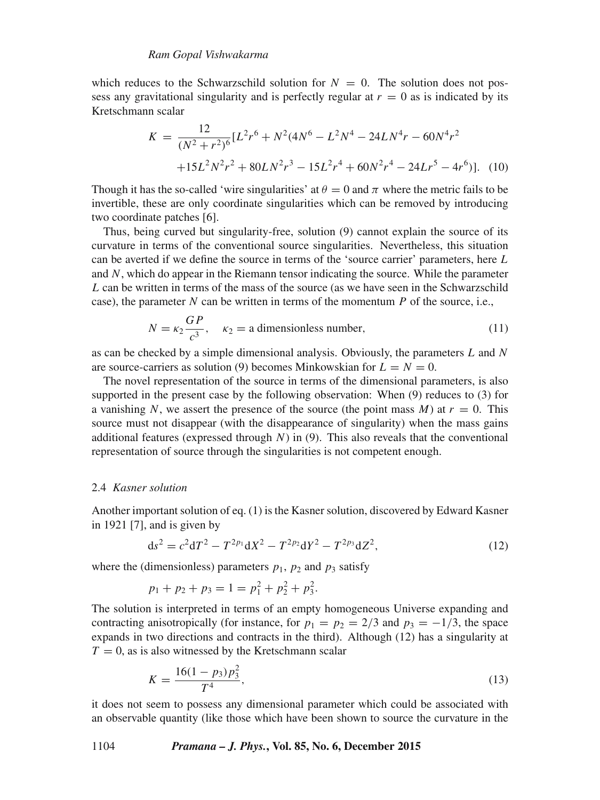which reduces to the Schwarzschild solution for  $N = 0$ . The solution does not possess any gravitational singularity and is perfectly regular at  $r = 0$  as is indicated by its Kretschmann scalar

$$
K = \frac{12}{(N^2 + r^2)^6} [L^2 r^6 + N^2 (4N^6 - L^2 N^4 - 24LN^4 r - 60N^4 r^2 +15L^2 N^2 r^2 + 80LN^2 r^3 - 15L^2 r^4 + 60N^2 r^4 - 24Lr^5 - 4r^6)].
$$
 (10)

Though it has the so-called 'wire singularities' at  $\theta = 0$  and  $\pi$  where the metric fails to be invertible, these are only coordinate singularities which can be removed by introducing two coordinate patches [6].

Thus, being curved but singularity-free, solution (9) cannot explain the source of its curvature in terms of the conventional source singularities. Nevertheless, this situation can be averted if we define the source in terms of the 'source carrier' parameters, here L and  $N$ , which do appear in the Riemann tensor indicating the source. While the parameter L can be written in terms of the mass of the source (as we have seen in the Schwarzschild case), the parameter N can be written in terms of the momentum  $P$  of the source, i.e.,

$$
N = \kappa_2 \frac{GP}{c^3}, \quad \kappa_2 = \text{a dimensionless number}, \tag{11}
$$

as can be checked by a simple dimensional analysis. Obviously, the parameters  $L$  and  $N$ are source-carriers as solution (9) becomes Minkowskian for  $L = N = 0$ .

The novel representation of the source in terms of the dimensional parameters, is also supported in the present case by the following observation: When (9) reduces to (3) for a vanishing N, we assert the presence of the source (the point mass M) at  $r = 0$ . This source must not disappear (with the disappearance of singularity) when the mass gains additional features (expressed through  $N$ ) in (9). This also reveals that the conventional representation of source through the singularities is not competent enough.

#### 2.4 *Kasner solution*

Another important solution of eq. (1) is the Kasner solution, discovered by Edward Kasner in 1921 [7], and is given by

$$
ds^{2} = c^{2} dT^{2} - T^{2p_{1}} dX^{2} - T^{2p_{2}} dY^{2} - T^{2p_{3}} dZ^{2},
$$
\n(12)

where the (dimensionless) parameters  $p_1$ ,  $p_2$  and  $p_3$  satisfy

$$
p_1 + p_2 + p_3 = 1 = p_1^2 + p_2^2 + p_3^2.
$$

The solution is interpreted in terms of an empty homogeneous Universe expanding and contracting anisotropically (for instance, for  $p_1 = p_2 = 2/3$  and  $p_3 = -1/3$ , the space expands in two directions and contracts in the third). Although (12) has a singularity at  $T = 0$ , as is also witnessed by the Kretschmann scalar

$$
K = \frac{16(1 - p_3)p_3^2}{T^4},\tag{13}
$$

it does not seem to possess any dimensional parameter which could be associated with an observable quantity (like those which have been shown to source the curvature in the

#### 1104 *Pramana – J. Phys.***, Vol. 85, No. 6, December 2015**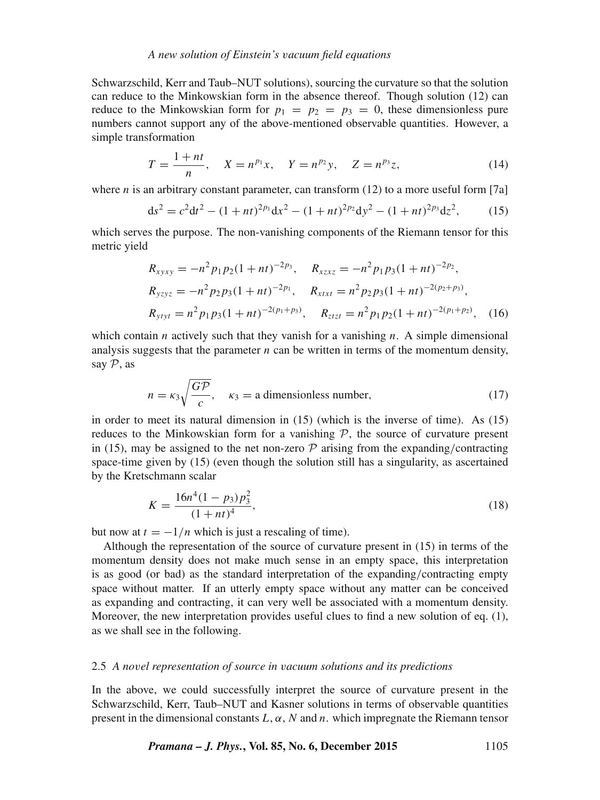Schwarzschild, Kerr and Taub–NUT solutions), sourcing the curvature so that the solution can reduce to the Minkowskian form in the absence thereof. Though solution (12) can reduce to the Minkowskian form for  $p_1 = p_2 = p_3 = 0$ , these dimensionless pure numbers cannot support any of the above-mentioned observable quantities. However, a simple transformation

$$
T = \frac{1 + nt}{n}, \quad X = n^{p_1}x, \quad Y = n^{p_2}y, \quad Z = n^{p_3}z,
$$
 (14)

where *n* is an arbitrary constant parameter, can transform  $(12)$  to a more useful form [7a]

$$
ds^{2} = c^{2}dt^{2} - (1 + nt)^{2p_{1}}dx^{2} - (1 + nt)^{2p_{2}}dy^{2} - (1 + nt)^{2p_{3}}dz^{2},
$$
 (15)

which serves the purpose. The non-vanishing components of the Riemann tensor for this metric yield

$$
R_{xyxy} = -n^2 p_1 p_2 (1 + nt)^{-2p_3}, \quad R_{xzxz} = -n^2 p_1 p_3 (1 + nt)^{-2p_2},
$$
  
\n
$$
R_{yzyz} = -n^2 p_2 p_3 (1 + nt)^{-2p_1}, \quad R_{xtxt} = n^2 p_2 p_3 (1 + nt)^{-2(p_2 + p_3)},
$$
  
\n
$$
R_{ytyt} = n^2 p_1 p_3 (1 + nt)^{-2(p_1 + p_3)}, \quad R_{ztzt} = n^2 p_1 p_2 (1 + nt)^{-2(p_1 + p_2)},
$$
 (16)

which contain  $n$  actively such that they vanish for a vanishing  $n$ . A simple dimensional analysis suggests that the parameter  $n$  can be written in terms of the momentum density, say  $P$ , as

$$
n = \kappa_3 \sqrt{\frac{G\mathcal{P}}{c}}, \quad \kappa_3 = \text{a dimensionless number}, \tag{17}
$$

in order to meet its natural dimension in (15) (which is the inverse of time). As (15) reduces to the Minkowskian form for a vanishing  $P$ , the source of curvature present in (15), may be assigned to the net non-zero  $P$  arising from the expanding/contracting space-time given by (15) (even though the solution still has a singularity, as ascertained by the Kretschmann scalar

$$
K = \frac{16n^4(1 - p_3)p_3^2}{(1 + nt)^4},\tag{18}
$$

but now at  $t = -1/n$  which is just a rescaling of time).

Although the representation of the source of curvature present in (15) in terms of the momentum density does not make much sense in an empty space, this interpretation is as good (or bad) as the standard interpretation of the expanding/contracting empty space without matter. If an utterly empty space without any matter can be conceived as expanding and contracting, it can very well be associated with a momentum density. Moreover, the new interpretation provides useful clues to find a new solution of eq. (1), as we shall see in the following.

#### 2.5 *A no*v*el representation of source in* v*acuum solutions and its predictions*

In the above, we could successfully interpret the source of curvature present in the Schwarzschild, Kerr, Taub–NUT and Kasner solutions in terms of observable quantities present in the dimensional constants  $L, \alpha, N$  and n, which impregnate the Riemann tensor

*Pramana – J. Phys.***, Vol. 85, No. 6, December 2015** 1105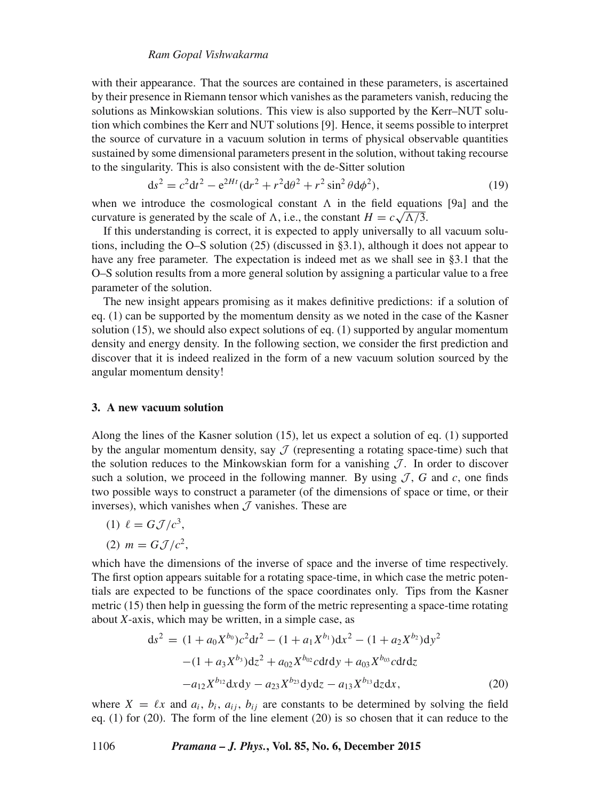with their appearance. That the sources are contained in these parameters, is ascertained by their presence in Riemann tensor which vanishes as the parameters vanish, reducing the solutions as Minkowskian solutions. This view is also supported by the Kerr–NUT solution which combines the Kerr and NUT solutions [9]. Hence, it seems possible to interpret the source of curvature in a vacuum solution in terms of physical observable quantities sustained by some dimensional parameters present in the solution, without taking recourse to the singularity. This is also consistent with the de-Sitter solution

$$
ds^{2} = c^{2}dt^{2} - e^{2Ht}(dr^{2} + r^{2}d\theta^{2} + r^{2}\sin^{2}\theta d\phi^{2}),
$$
\n(19)

when we introduce the cosmological constant  $\Lambda$  in the field equations [9a] and the curvature is generated by the scale of  $\Lambda$ , i.e., the constant  $H = c\sqrt{\Lambda/3}$ .

If this understanding is correct, it is expected to apply universally to all vacuum solutions, including the O–S solution (25) (discussed in §3.1), although it does not appear to have any free parameter. The expectation is indeed met as we shall see in §3.1 that the O–S solution results from a more general solution by assigning a particular value to a free parameter of the solution.

The new insight appears promising as it makes definitive predictions: if a solution of eq. (1) can be supported by the momentum density as we noted in the case of the Kasner solution (15), we should also expect solutions of eq. (1) supported by angular momentum density and energy density. In the following section, we consider the first prediction and discover that it is indeed realized in the form of a new vacuum solution sourced by the angular momentum density!

#### **3. A new vacuum solution**

Along the lines of the Kasner solution (15), let us expect a solution of eq. (1) supported by the angular momentum density, say  $J$  (representing a rotating space-time) such that the solution reduces to the Minkowskian form for a vanishing  $\mathcal{J}$ . In order to discover such a solution, we proceed in the following manner. By using  $J$ , G and c, one finds two possible ways to construct a parameter (of the dimensions of space or time, or their inverses), which vanishes when  $J$  vanishes. These are

- (1)  $\ell = G \mathcal{J}/c^3$ .
- (2)  $m = G \mathcal{I}/c^2$ .

which have the dimensions of the inverse of space and the inverse of time respectively. The first option appears suitable for a rotating space-time, in which case the metric potentials are expected to be functions of the space coordinates only. Tips from the Kasner metric (15) then help in guessing the form of the metric representing a space-time rotating about *X*-axis, which may be written, in a simple case, as

$$
ds^{2} = (1 + a_{0}X^{b_{0}})c^{2}dt^{2} - (1 + a_{1}X^{b_{1}})dx^{2} - (1 + a_{2}X^{b_{2}})dy^{2}
$$

$$
- (1 + a_{3}X^{b_{3}})dz^{2} + a_{02}X^{b_{02}}cdtdy + a_{03}X^{b_{03}}cdtdz
$$

$$
-a_{12}X^{b_{12}}dxdy - a_{23}X^{b_{23}}dydz - a_{13}X^{b_{13}}dzdx,
$$
 (20)

where  $X = \ell x$  and  $a_i, b_i, a_{ij}, b_{ij}$  are constants to be determined by solving the field eq.  $(1)$  for  $(20)$ . The form of the line element  $(20)$  is so chosen that it can reduce to the

1106 *Pramana – J. Phys.***, Vol. 85, No. 6, December 2015**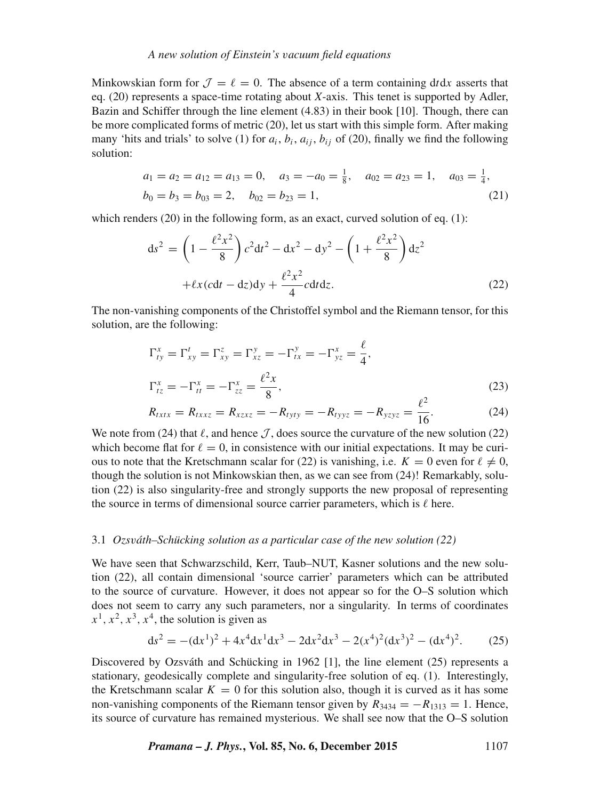Minkowskian form for  $\mathcal{J} = \ell = 0$ . The absence of a term containing dtdx asserts that eq. (20) represents a space-time rotating about *X*-axis. This tenet is supported by Adler, Bazin and Schiffer through the line element (4.83) in their book [10]. Though, there can be more complicated forms of metric (20), let us start with this simple form. After making many 'hits and trials' to solve (1) for  $a_i$ ,  $b_i$ ,  $a_{ii}$ ,  $b_{ii}$  of (20), finally we find the following solution:

$$
a_1 = a_2 = a_{12} = a_{13} = 0
$$
,  $a_3 = -a_0 = \frac{1}{8}$ ,  $a_{02} = a_{23} = 1$ ,  $a_{03} = \frac{1}{4}$ ,  
\n $b_0 = b_3 = b_{03} = 2$ ,  $b_{02} = b_{23} = 1$ , (21)

which renders (20) in the following form, as an exact, curved solution of eq. (1):

$$
ds^{2} = \left(1 - \frac{\ell^{2} x^{2}}{8}\right) c^{2} dt^{2} - dx^{2} - dy^{2} - \left(1 + \frac{\ell^{2} x^{2}}{8}\right) dz^{2}
$$

$$
+ \ell x (c dt - dz) dy + \frac{\ell^{2} x^{2}}{4} c dt dz.
$$
(22)

The non-vanishing components of the Christoffel symbol and the Riemann tensor, for this solution, are the following:

$$
\Gamma_{ty}^{x} = \Gamma_{xy}^{t} = \Gamma_{xy}^{z} = \Gamma_{xz}^{y} = -\Gamma_{tx}^{y} = -\Gamma_{yz}^{x} = \frac{\ell}{4},
$$
\n
$$
\Gamma_{tz}^{x} = -\Gamma_{tt}^{x} = -\Gamma_{zz}^{x} = \frac{\ell^{2}x}{8},
$$
\n(23)

$$
R_{txtx} = R_{txxz} = R_{xzxz} = -R_{tyty} = -R_{tyyz} = -R_{yzyz} = \frac{\ell^2}{16}.
$$
 (24)

We note from (24) that  $\ell$ , and hence  $\mathcal{J}$ , does source the curvature of the new solution (22) which become flat for  $\ell = 0$ , in consistence with our initial expectations. It may be curious to note that the Kretschmann scalar for (22) is vanishing, i.e.  $K = 0$  even for  $\ell \neq 0$ , though the solution is not Minkowskian then, as we can see from (24)! Remarkably, solution (22) is also singularity-free and strongly supports the new proposal of representing the source in terms of dimensional source carrier parameters, which is  $\ell$  here.

#### 3.1 *Ozs*v*áth–Schücking solution as a particular case of the new solution (22)*

We have seen that Schwarzschild, Kerr, Taub–NUT, Kasner solutions and the new solution (22), all contain dimensional 'source carrier' parameters which can be attributed to the source of curvature. However, it does not appear so for the O–S solution which does not seem to carry any such parameters, nor a singularity. In terms of coordinates  $x<sup>1</sup>, x<sup>2</sup>, x<sup>3</sup>, x<sup>4</sup>$ , the solution is given as

$$
ds^{2} = -(dx^{1})^{2} + 4x^{4}dx^{1}dx^{3} - 2dx^{2}dx^{3} - 2(x^{4})^{2}(dx^{3})^{2} - (dx^{4})^{2}.
$$
 (25)

Discovered by Ozsváth and Schücking in 1962 [1], the line element (25) represents a stationary, geodesically complete and singularity-free solution of eq. (1). Interestingly, the Kretschmann scalar  $K = 0$  for this solution also, though it is curved as it has some non-vanishing components of the Riemann tensor given by  $R_{3434} = -R_{1313} = 1$ . Hence, its source of curvature has remained mysterious. We shall see now that the O–S solution

*Pramana – J. Phys.***, Vol. 85, No. 6, December 2015** 1107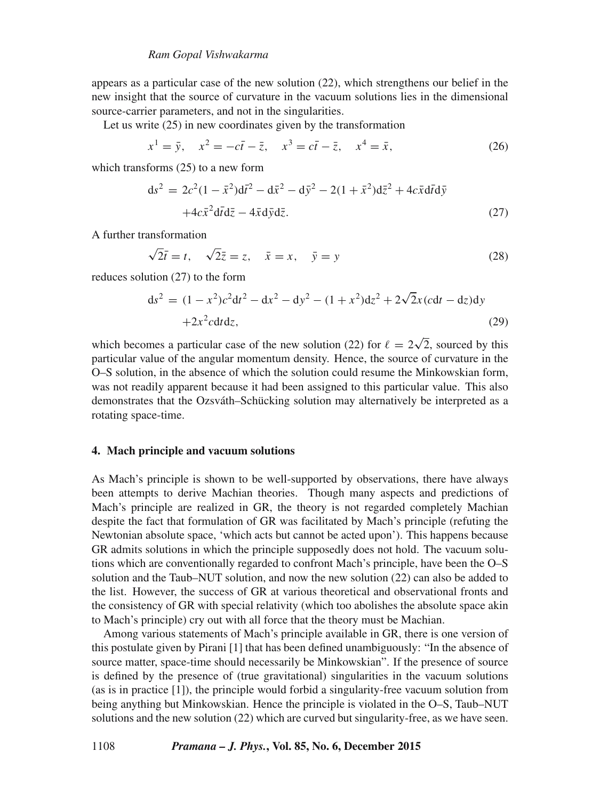appears as a particular case of the new solution (22), which strengthens our belief in the new insight that the source of curvature in the vacuum solutions lies in the dimensional source-carrier parameters, and not in the singularities.

Let us write (25) in new coordinates given by the transformation

$$
x^{1} = \bar{y}, \quad x^{2} = -c\bar{t} - \bar{z}, \quad x^{3} = c\bar{t} - \bar{z}, \quad x^{4} = \bar{x}, \tag{26}
$$

which transforms (25) to a new form

$$
ds^{2} = 2c^{2}(1 - \bar{x}^{2})d\bar{t}^{2} - d\bar{x}^{2} - d\bar{y}^{2} - 2(1 + \bar{x}^{2})d\bar{z}^{2} + 4c\bar{x}d\bar{t}d\bar{y} + 4c\bar{x}^{2}d\bar{t}d\bar{z} - 4\bar{x}d\bar{y}d\bar{z}.
$$
 (27)

A further transformation

$$
\sqrt{2}\overline{t} = t, \quad \sqrt{2}\overline{z} = z, \quad \overline{x} = x, \quad \overline{y} = y \tag{28}
$$

reduces solution (27) to the form

$$
ds^{2} = (1 - x^{2})c^{2}dt^{2} - dx^{2} - dy^{2} - (1 + x^{2})dz^{2} + 2\sqrt{2}x(cdt - dz)dy
$$
  
+2x<sup>2</sup>cdtdz, (29)

which becomes a particular case of the new solution (22) for  $\ell = 2\sqrt{2}$ , sourced by this particular value of the angular momentum density. Hence, the source of curvature in the O–S solution, in the absence of which the solution could resume the Minkowskian form, was not readily apparent because it had been assigned to this particular value. This also demonstrates that the Ozsváth–Schücking solution may alternatively be interpreted as a rotating space-time.

## **4. Mach principle and vacuum solutions**

As Mach's principle is shown to be well-supported by observations, there have always been attempts to derive Machian theories. Though many aspects and predictions of Mach's principle are realized in GR, the theory is not regarded completely Machian despite the fact that formulation of GR was facilitated by Mach's principle (refuting the Newtonian absolute space, 'which acts but cannot be acted upon'). This happens because GR admits solutions in which the principle supposedly does not hold. The vacuum solutions which are conventionally regarded to confront Mach's principle, have been the O–S solution and the Taub–NUT solution, and now the new solution (22) can also be added to the list. However, the success of GR at various theoretical and observational fronts and the consistency of GR with special relativity (which too abolishes the absolute space akin to Mach's principle) cry out with all force that the theory must be Machian.

Among various statements of Mach's principle available in GR, there is one version of this postulate given by Pirani [1] that has been defined unambiguously: "In the absence of source matter, space-time should necessarily be Minkowskian". If the presence of source is defined by the presence of (true gravitational) singularities in the vacuum solutions (as is in practice [1]), the principle would forbid a singularity-free vacuum solution from being anything but Minkowskian. Hence the principle is violated in the O–S, Taub–NUT solutions and the new solution (22) which are curved but singularity-free, as we have seen.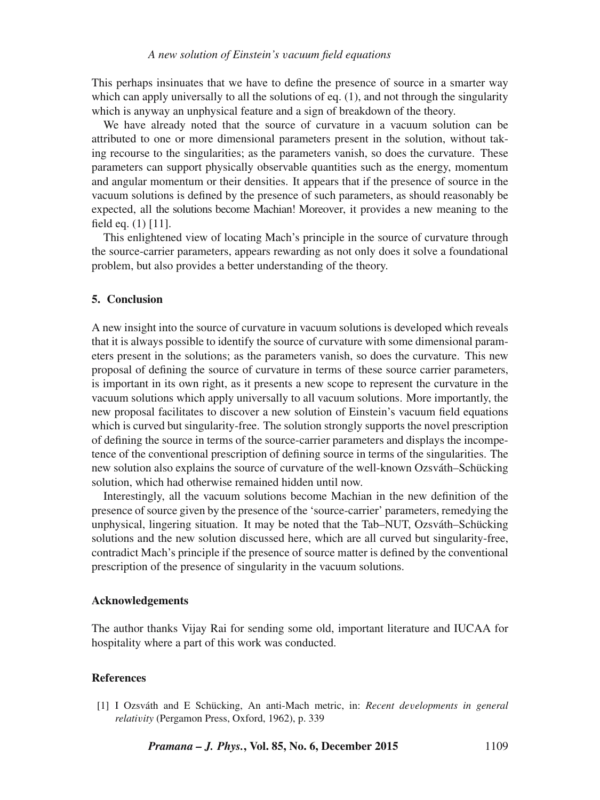This perhaps insinuates that we have to define the presence of source in a smarter way which can apply universally to all the solutions of eq.  $(1)$ , and not through the singularity which is anyway an unphysical feature and a sign of breakdown of the theory.

We have already noted that the source of curvature in a vacuum solution can be attributed to one or more dimensional parameters present in the solution, without taking recourse to the singularities; as the parameters vanish, so does the curvature. These parameters can support physically observable quantities such as the energy, momentum and angular momentum or their densities. It appears that if the presence of source in the vacuum solutions is defined by the presence of such parameters, as should reasonably be expected, all the solutions become Machian! Moreover, it provides a new meaning to the field eq. (1) [11].

This enlightened view of locating Mach's principle in the source of curvature through the source-carrier parameters, appears rewarding as not only does it solve a foundational problem, but also provides a better understanding of the theory.

## **5. Conclusion**

A new insight into the source of curvature in vacuum solutions is developed which reveals that it is always possible to identify the source of curvature with some dimensional parameters present in the solutions; as the parameters vanish, so does the curvature. This new proposal of defining the source of curvature in terms of these source carrier parameters, is important in its own right, as it presents a new scope to represent the curvature in the vacuum solutions which apply universally to all vacuum solutions. More importantly, the new proposal facilitates to discover a new solution of Einstein's vacuum field equations which is curved but singularity-free. The solution strongly supports the novel prescription of defining the source in terms of the source-carrier parameters and displays the incompetence of the conventional prescription of defining source in terms of the singularities. The new solution also explains the source of curvature of the well-known Ozsváth–Schücking solution, which had otherwise remained hidden until now.

Interestingly, all the vacuum solutions become Machian in the new definition of the presence of source given by the presence of the 'source-carrier' parameters, remedying the unphysical, lingering situation. It may be noted that the Tab–NUT, Ozsváth–Schücking solutions and the new solution discussed here, which are all curved but singularity-free, contradict Mach's principle if the presence of source matter is defined by the conventional prescription of the presence of singularity in the vacuum solutions.

#### **Acknowledgements**

The author thanks Vijay Rai for sending some old, important literature and IUCAA for hospitality where a part of this work was conducted.

## **References**

[1] I Ozsváth and E Schücking, An anti-Mach metric, in: *Recent de*v*elopments in general relati*v*ity* (Pergamon Press, Oxford, 1962), p. 339